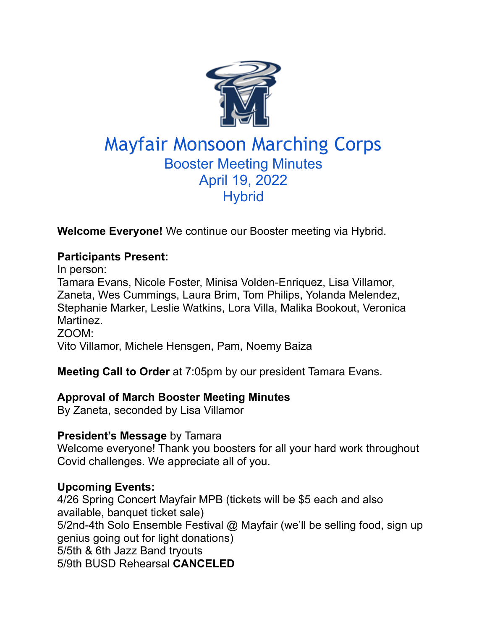

# Mayfair Monsoon Marching Corps Booster Meeting Minutes April 19, 2022 **Hybrid**

**Welcome Everyone!** We continue our Booster meeting via Hybrid.

## **Participants Present:**

In person:

Tamara Evans, Nicole Foster, Minisa Volden-Enriquez, Lisa Villamor, Zaneta, Wes Cummings, Laura Brim, Tom Philips, Yolanda Melendez, Stephanie Marker, Leslie Watkins, Lora Villa, Malika Bookout, Veronica **Martinez** 

ZOOM:

Vito Villamor, Michele Hensgen, Pam, Noemy Baiza

**Meeting Call to Order** at 7:05pm by our president Tamara Evans.

## **Approval of March Booster Meeting Minutes**

By Zaneta, seconded by Lisa Villamor

## **President's Message** by Tamara

Welcome everyone! Thank you boosters for all your hard work throughout Covid challenges. We appreciate all of you.

## **Upcoming Events:**

4/26 Spring Concert Mayfair MPB (tickets will be \$5 each and also available, banquet ticket sale) 5/2nd-4th Solo Ensemble Festival @ Mayfair (we'll be selling food, sign up genius going out for light donations) 5/5th & 6th Jazz Band tryouts 5/9th BUSD Rehearsal **CANCELED**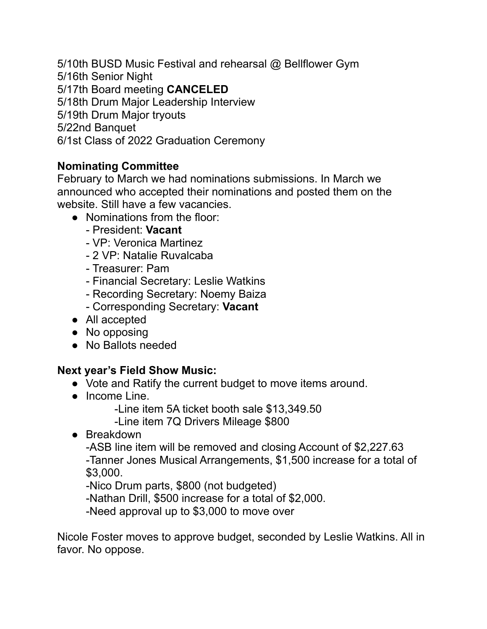5/10th BUSD Music Festival and rehearsal @ Bellflower Gym 5/16th Senior Night 5/17th Board meeting **CANCELED** 5/18th Drum Major Leadership Interview 5/19th Drum Major tryouts 5/22nd Banquet 6/1st Class of 2022 Graduation Ceremony

## **Nominating Committee**

February to March we had nominations submissions. In March we announced who accepted their nominations and posted them on the website. Still have a few vacancies.

- Nominations from the floor:
	- President: **Vacant**
	- VP: Veronica Martinez
	- 2 VP: Natalie Ruvalcaba
	- Treasurer: Pam
	- Financial Secretary: Leslie Watkins
	- Recording Secretary: Noemy Baiza
	- Corresponding Secretary: **Vacant**
- All accepted
- **●** No opposing
- No Ballots needed

#### **Next year's Field Show Music:**

- Vote and Ratify the current budget to move items around.
- Income Line.
	- -Line item 5A ticket booth sale \$13,349.50
	- -Line item 7Q Drivers Mileage \$800
- Breakdown

-ASB line item will be removed and closing Account of \$2,227.63 -Tanner Jones Musical Arrangements, \$1,500 increase for a total of \$3,000.

-Nico Drum parts, \$800 (not budgeted)

-Nathan Drill, \$500 increase for a total of \$2,000.

-Need approval up to \$3,000 to move over

Nicole Foster moves to approve budget, seconded by Leslie Watkins. All in favor. No oppose.